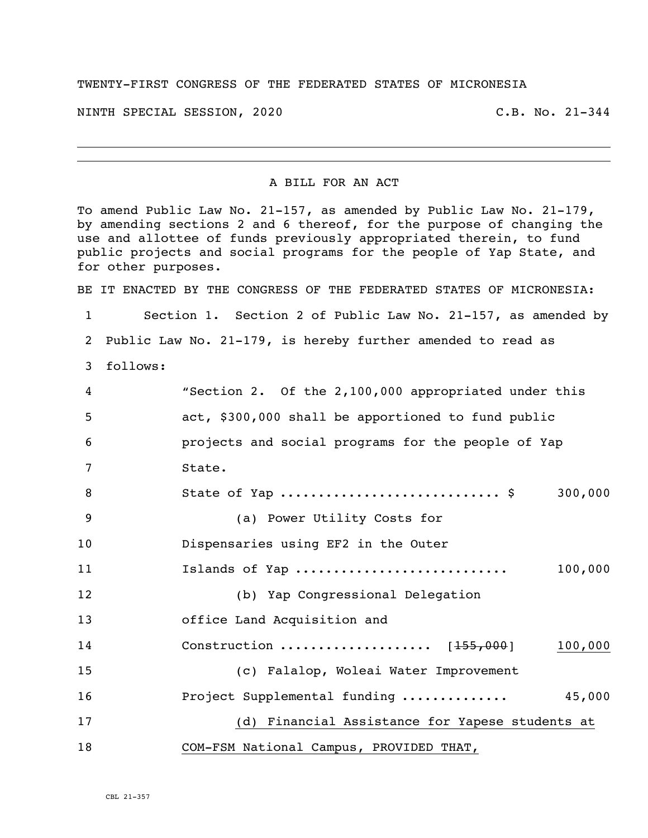## TWENTY-FIRST CONGRESS OF THE FEDERATED STATES OF MICRONESIA

NINTH SPECIAL SESSION, 2020 C.B. No. 21-344

## A BILL FOR AN ACT

To amend Public Law No. 21-157, as amended by Public Law No. 21-179, by amending sections 2 and 6 thereof, for the purpose of changing the use and allottee of funds previously appropriated therein, to fund public projects and social programs for the people of Yap State, and for other purposes. BE IT ENACTED BY THE CONGRESS OF THE FEDERATED STATES OF MICRONESIA: Section 1. Section 2 of Public Law No. 21-157, as amended by Public Law No. 21-179, is hereby further amended to read as follows: "Section 2. Of the 2,100,000 appropriated under this act, \$300,000 shall be apportioned to fund public projects and social programs for the people of Yap State. State of Yap ............................. \$ 300,000 (a) Power Utility Costs for Dispensaries using EF2 in the Outer Islands of Yap ............................ 100,000 (b) Yap Congressional Delegation office Land Acquisition and 14 Construction ........................... [155,000] 100,000 (c) Falalop, Woleai Water Improvement Project Supplemental funding .............. 45,000 (d) Financial Assistance for Yapese students at COM-FSM National Campus, PROVIDED THAT,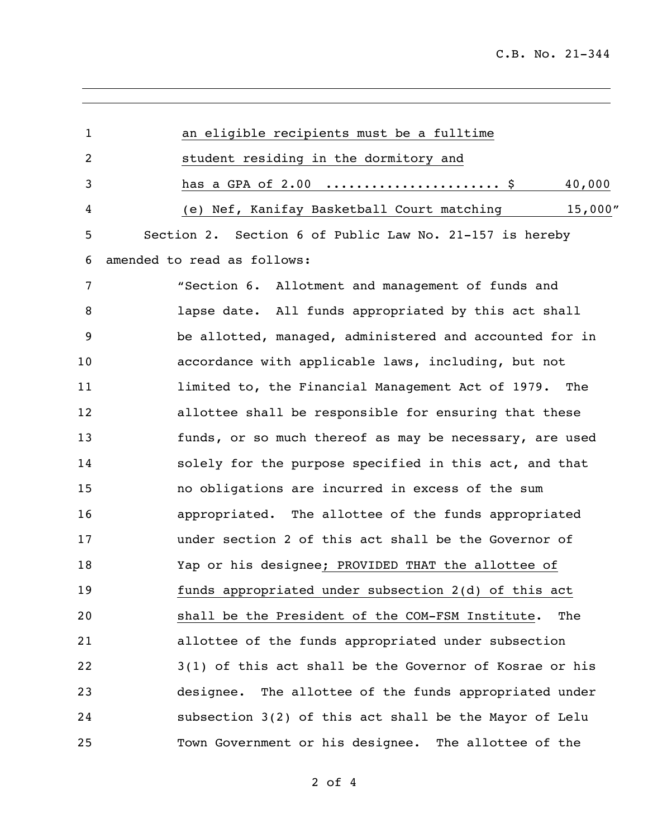| $\mathbf{1}$ | an eligible recipients must be a fulltime               |
|--------------|---------------------------------------------------------|
| 2            | student residing in the dormitory and                   |
| 3            | 40,000<br>has a GPA of 2.00  \$                         |
| 4            | 15,000''<br>(e) Nef, Kanifay Basketball Court matching  |
| 5            | Section 2. Section 6 of Public Law No. 21-157 is hereby |
| 6            | amended to read as follows:                             |
| 7            | "Section 6. Allotment and management of funds and       |
| 8            | lapse date. All funds appropriated by this act shall    |
| 9            | be allotted, managed, administered and accounted for in |
| 10           | accordance with applicable laws, including, but not     |
| 11           | limited to, the Financial Management Act of 1979. The   |
| 12           | allottee shall be responsible for ensuring that these   |
| 13           | funds, or so much thereof as may be necessary, are used |
| 14           | solely for the purpose specified in this act, and that  |
| 15           | no obligations are incurred in excess of the sum        |
| 16           | appropriated. The allottee of the funds appropriated    |
| 17           | under section 2 of this act shall be the Governor of    |
| 18           | Yap or his designee; PROVIDED THAT the allottee of      |
| 19           | funds appropriated under subsection 2(d) of this act    |
| 20           | shall be the President of the COM-FSM Institute.<br>The |
| 21           | allottee of the funds appropriated under subsection     |
| 22           | 3(1) of this act shall be the Governor of Kosrae or his |
| 23           | designee. The allottee of the funds appropriated under  |
| 24           | subsection 3(2) of this act shall be the Mayor of Lelu  |
| 25           | Town Government or his designee. The allottee of the    |

of 4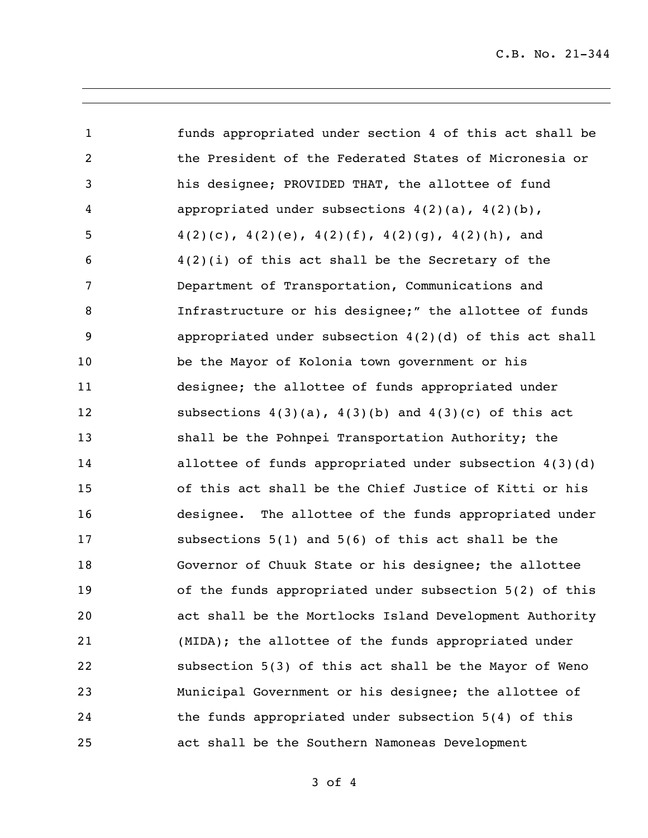C.B. No. 21-344

| $\mathbf{1}$   | funds appropriated under section 4 of this act shall be     |
|----------------|-------------------------------------------------------------|
| $\overline{2}$ | the President of the Federated States of Micronesia or      |
| $\mathsf{3}$   | his designee; PROVIDED THAT, the allottee of fund           |
| $\overline{4}$ | appropriated under subsections $4(2)(a)$ , $4(2)(b)$ ,      |
| 5              | $4(2)(c), 4(2)(e), 4(2)(f), 4(2)(g), 4(2)(h),$ and          |
| 6              | $4(2)(i)$ of this act shall be the Secretary of the         |
| $\overline{7}$ | Department of Transportation, Communications and            |
| 8              | Infrastructure or his designee;" the allottee of funds      |
| 9              | appropriated under subsection $4(2)(d)$ of this act shall   |
| 10             | be the Mayor of Kolonia town government or his              |
| 11             | designee; the allottee of funds appropriated under          |
| 12             | subsections $4(3)(a)$ , $4(3)(b)$ and $4(3)(c)$ of this act |
| 13             | shall be the Pohnpei Transportation Authority; the          |
| 14             | allottee of funds appropriated under subsection 4(3)(d)     |
| 15             | of this act shall be the Chief Justice of Kitti or his      |
| 16             | designee. The allottee of the funds appropriated under      |
| 17             | subsections $5(1)$ and $5(6)$ of this act shall be the      |
| 18             | Governor of Chuuk State or his designee; the allottee       |
| 19             | of the funds appropriated under subsection 5(2) of this     |
| 20             | act shall be the Mortlocks Island Development Authority     |
| 21             | (MIDA); the allottee of the funds appropriated under        |
| 22             | subsection 5(3) of this act shall be the Mayor of Weno      |
| 23             | Municipal Government or his designee; the allottee of       |
| 24             | the funds appropriated under subsection 5(4) of this        |
| 25             | act shall be the Southern Namoneas Development              |